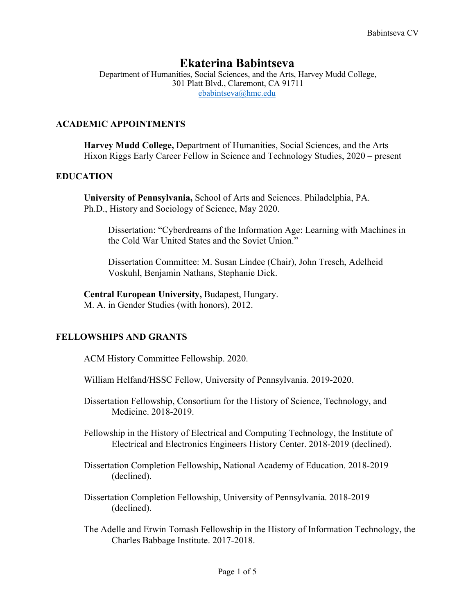# **Ekaterina Babintseva**

Department of Humanities, Social Sciences, and the Arts, Harvey Mudd College, 301 Platt Blvd., Claremont, CA 91711 ebabintseva@hmc.edu

# **ACADEMIC APPOINTMENTS**

**Harvey Mudd College,** Department of Humanities, Social Sciences, and the Arts Hixon Riggs Early Career Fellow in Science and Technology Studies, 2020 – present

# **EDUCATION**

**University of Pennsylvania,** School of Arts and Sciences. Philadelphia, PA. Ph.D., History and Sociology of Science, May 2020.

Dissertation: "Cyberdreams of the Information Age: Learning with Machines in the Cold War United States and the Soviet Union."

Dissertation Committee: M. Susan Lindee (Chair), John Tresch, Adelheid Voskuhl, Benjamin Nathans, Stephanie Dick.

**Central European University,** Budapest, Hungary. M. A. in Gender Studies (with honors), 2012.

# **FELLOWSHIPS AND GRANTS**

ACM History Committee Fellowship. 2020.

- William Helfand/HSSC Fellow, University of Pennsylvania. 2019-2020.
- Dissertation Fellowship, Consortium for the History of Science, Technology, and Medicine. 2018-2019.
- Fellowship in the History of Electrical and Computing Technology, the Institute of Electrical and Electronics Engineers History Center. 2018-2019 (declined).
- Dissertation Completion Fellowship**,** National Academy of Education. 2018-2019 (declined).
- Dissertation Completion Fellowship, University of Pennsylvania. 2018-2019 (declined).
- The Adelle and Erwin Tomash Fellowship in the History of Information Technology, the Charles Babbage Institute. 2017-2018.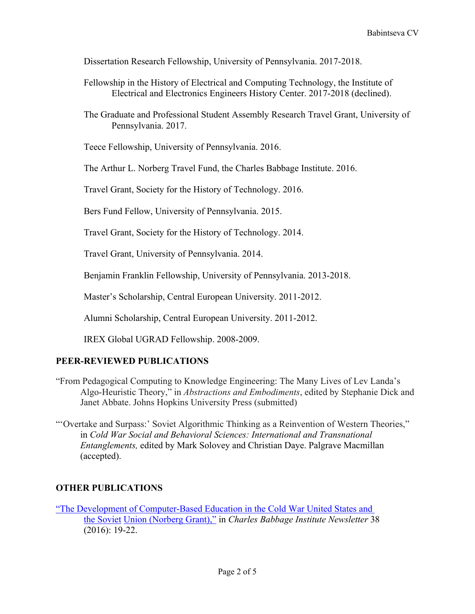Dissertation Research Fellowship, University of Pennsylvania. 2017-2018.

- Fellowship in the History of Electrical and Computing Technology, the Institute of Electrical and Electronics Engineers History Center. 2017-2018 (declined).
- The Graduate and Professional Student Assembly Research Travel Grant, University of Pennsylvania. 2017.

Teece Fellowship, University of Pennsylvania. 2016.

The Arthur L. Norberg Travel Fund, the Charles Babbage Institute. 2016.

Travel Grant, Society for the History of Technology. 2016.

Bers Fund Fellow, University of Pennsylvania. 2015.

Travel Grant, Society for the History of Technology. 2014.

Travel Grant, University of Pennsylvania. 2014.

Benjamin Franklin Fellowship, University of Pennsylvania. 2013-2018.

Master's Scholarship, Central European University. 2011-2012.

Alumni Scholarship, Central European University. 2011-2012.

IREX Global UGRAD Fellowship. 2008-2009.

# **PEER-REVIEWED PUBLICATIONS**

- "From Pedagogical Computing to Knowledge Engineering: The Many Lives of Lev Landa's Algo-Heuristic Theory," in *Abstractions and Embodiments*, edited by Stephanie Dick and Janet Abbate. Johns Hopkins University Press (submitted)
- "'Overtake and Surpass:' Soviet Algorithmic Thinking as a Reinvention of Western Theories," in *Cold War Social and Behavioral Sciences: International and Transnational Entanglements,* edited by Mark Solovey and Christian Daye. Palgrave Macmillan (accepted).

# **OTHER PUBLICATIONS**

"The Development of Computer-Based Education in the Cold War United States and the Soviet Union (Norberg Grant)," in *Charles Babbage Institute Newsletter* 38 (2016): 19-22.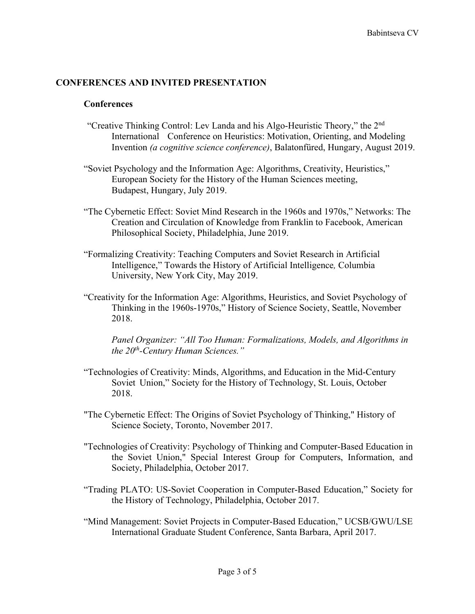## **CONFERENCES AND INVITED PRESENTATION**

#### **Conferences**

- "Creative Thinking Control: Lev Landa and his Algo-Heuristic Theory," the 2nd International Conference on Heuristics: Motivation, Orienting, and Modeling Invention *(a cognitive science conference)*, Balatonfüred, Hungary, August 2019.
- "Soviet Psychology and the Information Age: Algorithms, Creativity, Heuristics," European Society for the History of the Human Sciences meeting, Budapest, Hungary, July 2019.
- "The Cybernetic Effect: Soviet Mind Research in the 1960s and 1970s," Networks: The Creation and Circulation of Knowledge from Franklin to Facebook, American Philosophical Society, Philadelphia, June 2019.
- "Formalizing Creativity: Teaching Computers and Soviet Research in Artificial Intelligence," Towards the History of Artificial Intelligence*,* Columbia University, New York City, May 2019.
- "Creativity for the Information Age: Algorithms, Heuristics, and Soviet Psychology of Thinking in the 1960s-1970s," History of Science Society, Seattle, November 2018.

*Panel Organizer: "All Too Human: Formalizations, Models, and Algorithms in the 20th-Century Human Sciences."*

- "Technologies of Creativity: Minds, Algorithms, and Education in the Mid-Century Soviet Union," Society for the History of Technology, St. Louis, October 2018.
- "The Cybernetic Effect: The Origins of Soviet Psychology of Thinking," History of Science Society, Toronto, November 2017.
- "Technologies of Creativity: Psychology of Thinking and Computer-Based Education in the Soviet Union," Special Interest Group for Computers, Information, and Society, Philadelphia, October 2017.
- "Trading PLATO: US-Soviet Cooperation in Computer-Based Education," Society for the History of Technology, Philadelphia, October 2017.
- "Mind Management: Soviet Projects in Computer-Based Education," UCSB/GWU/LSE International Graduate Student Conference, Santa Barbara, April 2017.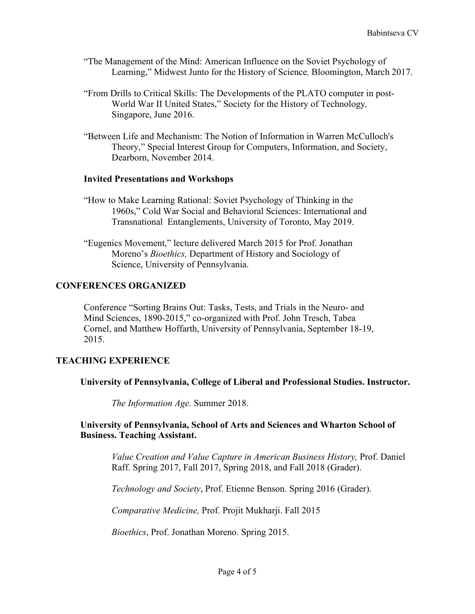- "The Management of the Mind: American Influence on the Soviet Psychology of Learning," Midwest Junto for the History of Science*,* Bloomington, March 2017.
- "From Drills to Critical Skills: The Developments of the PLATO computer in post-World War II United States," Society for the History of Technology*,* Singapore, June 2016.
- "Between Life and Mechanism: The Notion of Information in Warren McCulloch's Theory," Special Interest Group for Computers, Information, and Society, Dearborn, November 2014.

### **Invited Presentations and Workshops**

- "How to Make Learning Rational: Soviet Psychology of Thinking in the 1960s," Cold War Social and Behavioral Sciences: International and Transnational Entanglements, University of Toronto, May 2019.
- "Eugenics Movement," lecture delivered March 2015 for Prof. Jonathan Moreno's *Bioethics,* Department of History and Sociology of Science, University of Pennsylvania.

## **CONFERENCES ORGANIZED**

Conference "Sorting Brains Out: Tasks, Tests, and Trials in the Neuro- and Mind Sciences, 1890-2015," co-organized with Prof. John Tresch, Tabea Cornel, and Matthew Hoffarth, University of Pennsylvania, September 18-19, 2015.

### **TEACHING EXPERIENCE**

### **University of Pennsylvania, College of Liberal and Professional Studies. Instructor.**

*The Information Age.* Summer 2018.

### **University of Pennsylvania, School of Arts and Sciences and Wharton School of Business. Teaching Assistant.**

*Value Creation and Value Capture in American Business History,* Prof. Daniel Raff. Spring 2017, Fall 2017, Spring 2018, and Fall 2018 (Grader).

*Technology and Society*, Prof. Etienne Benson. Spring 2016 (Grader).

*Comparative Medicine,* Prof. Projit Mukharji. Fall 2015

*Bioethics*, Prof. Jonathan Moreno. Spring 2015.